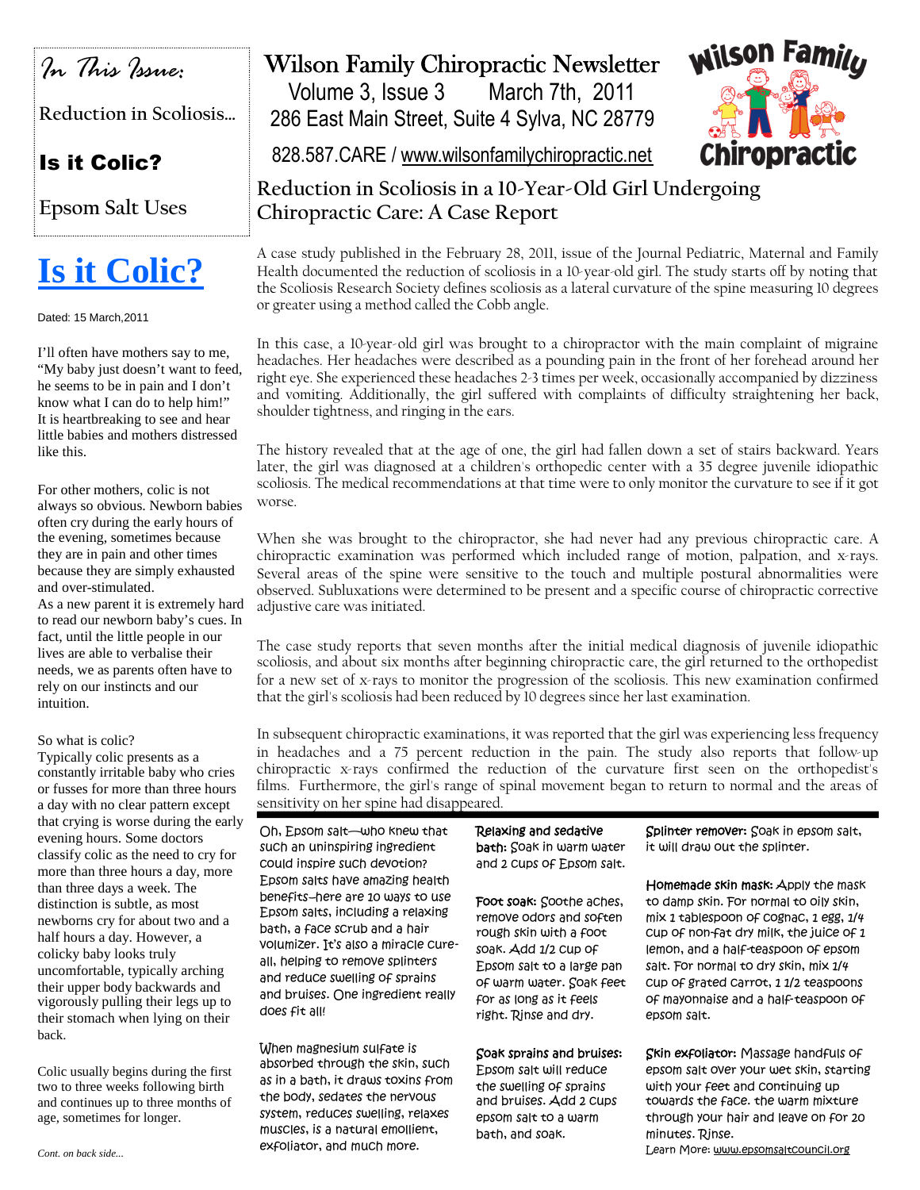

**Reduction in Scoliosis…**

## Is it Colic?

**Epsom Salt Uses**

# **Is it Colic?**

Dated: 15 March,2011

I'll often have mothers say to me, "My baby just doesn't want to feed, he seems to be in pain and I don't know what I can do to help him!" It is heartbreaking to see and hear little babies and mothers distressed like this.

For other mothers, colic is not always so obvious. Newborn babies often cry during the early hours of the evening, sometimes because they are in pain and other times because they are simply exhausted and over-stimulated.

As a new parent it is extremely hard to read our newborn baby's cues. In fact, until the little people in our lives are able to verbalise their needs, we as parents often have to rely on our instincts and our intuition.

### So what is colic?

Typically colic presents as a constantly irritable baby who cries or fusses for more than three hours a day with no clear pattern except that crying is worse during the early evening hours. Some doctors classify colic as the need to cry for more than three hours a day, more than three days a week. The distinction is subtle, as most newborns cry for about two and a half hours a day. However, a colicky baby looks truly uncomfortable, typically arching their upper body backwards and vigorously pulling their legs up to their stomach when lying on their back.

Colic usually begins during the first two to three weeks following birth and continues up to three months of age, sometimes for longer.

# Wilson Family Chiropractic Newsletter

Volume 3, Issue 3 March 7th, 2011 286 East Main Street, Suite 4 Sylva, NC 28779



828.587.CARE / www.wilsonfamilychiropractic.net

### **Reduction in Scoliosis in a 10-Year-Old Girl Undergoing Chiropractic Care: A Case Report**

A case study published in the February 28, 2011, issue of the Journal Pediatric, Maternal and Family Health documented the reduction of scoliosis in a 10-year-old girl. The study starts off by noting that the Scoliosis Research Society defines scoliosis as a lateral curvature of the spine measuring 10 degrees or greater using a method called the Cobb angle.

In this case, a 10-year-old girl was brought to a chiropractor with the main complaint of migraine headaches. Her headaches were described as a pounding pain in the front of her forehead around her right eye. She experienced these headaches 2-3 times per week, occasionally accompanied by dizziness and vomiting. Additionally, the girl suffered with complaints of difficulty straightening her back, shoulder tightness, and ringing in the ears.

The history revealed that at the age of one, the girl had fallen down a set of stairs backward. Years later, the girl was diagnosed at a children's orthopedic center with a 35 degree juvenile idiopathic scoliosis. The medical recommendations at that time were to only monitor the curvature to see if it got worse.

When she was brought to the chiropractor, she had never had any previous chiropractic care. A chiropractic examination was performed which included range of motion, palpation, and x-rays. Several areas of the spine were sensitive to the touch and multiple postural abnormalities were observed. Subluxations were determined to be present and a specific course of chiropractic corrective adjustive care was initiated.

The case study reports that seven months after the initial medical diagnosis of juvenile idiopathic scoliosis, and about six months after beginning chiropractic care, the girl returned to the orthopedist for a new set of x-rays to monitor the progression of the scoliosis. This new examination confirmed that the girl's scoliosis had been reduced by 10 degrees since her last examination.

In subsequent chiropractic examinations, it was reported that the girl was experiencing less frequency in headaches and a 75 percent reduction in the pain. The study also reports that follow-up chiropractic x-rays confirmed the reduction of the curvature first seen on the orthopedist's films. Furthermore, the girl's range of spinal movement began to return to normal and the areas of sensitivity on her spine had disappeared.

Oh, Epsom salt—who knew that such an uninspiring ingredient could inspire such devotion? Epsom salts have amazing health benefits–here are 10 ways to use Epsom salts, including a relaxing bath, a face scrub and a hair volumizer. It's also a miracle cureall, helping to remove splinters and reduce swelling of sprains and bruises. One ingredient really does fit all!

When magnesium sulfate is absorbed through the skin, such as in a bath, it draws toxins from the body, sedates the nervous system, reduces swelling, relaxes muscles, is a natural emollient, exfoliator, and much more.

Relaxing and sedative bath: Soak in warm water and 2 cups of Epsom salt.

Foot soak: Soothe aches, remove odors and soften rough skin with a foot soak. Add 1/2 cup of Epsom salt to a large pan of warm water. Soak feet for as long as it feels right. Rinse and dry.

### Soak sprains and bruises:

Epsom salt will reduce the swelling of sprains and bruises. Add 2 cups epsom salt to a warm bath, and soak.

Splinter remover: Soak in epsom salt, it will draw out the splinter.

Homemade skin mask: Apply the mask to damp skin. For normal to oily skin, mix 1 tablespoon of cognac, 1 egg, 1/4 cup of non-fat dry milk, the juice of 1 lemon, and a half-teaspoon of epsom salt. For normal to dry skin, mix 1/4 cup of grated carrot, 1 1/2 teaspoons of mayonnaise and a half-teaspoon of epsom salt.

Skin exfoliator: Massage handfuls of epsom salt over your wet skin, starting with your feet and continuing up towards the face. the warm mixture through your hair and leave on for 20 minutes. Rinse. Learn More: www.epsomsaltcouncil.org